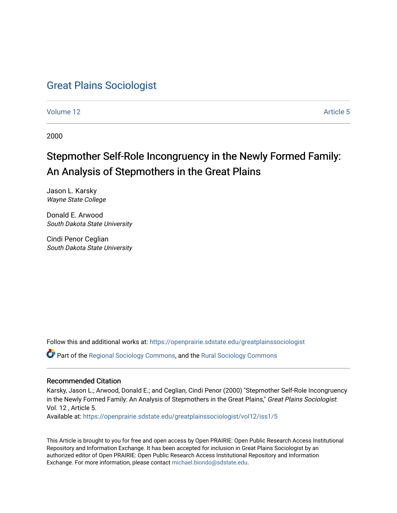# [Great Plains Sociologist](https://openprairie.sdstate.edu/greatplainssociologist)

[Volume 12](https://openprairie.sdstate.edu/greatplainssociologist/vol12) Article 5

2000

# Stepmother Self-Role Incongruency in the Newly Formed Family: An Analysis of Stepmothers in the Great Plains

Jason L. Karsky Wayne State College

Donald E. Arwood South Dakota State University

Cindi Penor Ceglian South Dakota State University

Follow this and additional works at: [https://openprairie.sdstate.edu/greatplainssociologist](https://openprairie.sdstate.edu/greatplainssociologist?utm_source=openprairie.sdstate.edu%2Fgreatplainssociologist%2Fvol12%2Fiss1%2F5&utm_medium=PDF&utm_campaign=PDFCoverPages) 

Part of the [Regional Sociology Commons](http://network.bepress.com/hgg/discipline/427?utm_source=openprairie.sdstate.edu%2Fgreatplainssociologist%2Fvol12%2Fiss1%2F5&utm_medium=PDF&utm_campaign=PDFCoverPages), and the [Rural Sociology Commons](http://network.bepress.com/hgg/discipline/428?utm_source=openprairie.sdstate.edu%2Fgreatplainssociologist%2Fvol12%2Fiss1%2F5&utm_medium=PDF&utm_campaign=PDFCoverPages) 

#### Recommended Citation

Karsky, Jason L.; Arwood, Donald E.; and Ceglian, Cindi Penor (2000) "Stepmother Self-Role Incongruency in the Newly Formed Family: An Analysis of Stepmothers in the Great Plains," Great Plains Sociologist: Vol. 12 , Article 5.

Available at: [https://openprairie.sdstate.edu/greatplainssociologist/vol12/iss1/5](https://openprairie.sdstate.edu/greatplainssociologist/vol12/iss1/5?utm_source=openprairie.sdstate.edu%2Fgreatplainssociologist%2Fvol12%2Fiss1%2F5&utm_medium=PDF&utm_campaign=PDFCoverPages)

This Article is brought to you for free and open access by Open PRAIRIE: Open Public Research Access Institutional Repository and Information Exchange. It has been accepted for inclusion in Great Plains Sociologist by an authorized editor of Open PRAIRIE: Open Public Research Access Institutional Repository and Information Exchange. For more information, please contact [michael.biondo@sdstate.edu.](mailto:michael.biondo@sdstate.edu)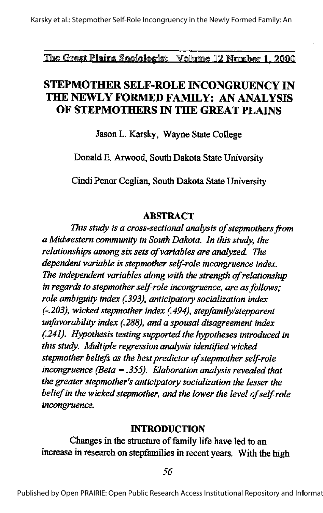The Great Plains Sociologist Volume 12 Number 1, 2000

# **STEPMOTHER SELF-ROLE INCONGRUENCY IN** THE NEWLY FORMED FAMILY: AN ANALYSIS OF STEPMOTHERS IN THE GREAT PLAINS

Jason L. Karsky, Wayne State College

Donald E. Arwood, South Dakota State University

Cindi Penor Ceglian, South Dakota State University

#### **ABSTRACT**

This study is a cross-sectional analysis of stepmothers from a Midwestern community in South Dakota. In this study, the relationships among six sets of variables are analyzed. The dependent variable is stepmother self-role incongruence index. The independent variables along with the strength of relationship in regards to stepmother self-role incongruence, are as follows: role ambiguity index (.393), anticipatory socialization index (-.203), wicked stepmother index (.494), stepfamily/stepparent unfavorability index (.288), and a spousal disagreement index (.241). Hypothesis testing supported the hypotheses introduced in this study. Multiple regression analysis identified wicked stepmother beliefs as the best predictor of stepmother self-role incongruence (Beta = .355). Elaboration analysis revealed that the greater stepmother's anticipatory socialization the lesser the belief in the wicked stepmother, and the lower the level of self-role incongruence.

#### **INTRODUCTION**

Changes in the structure of family life have led to an increase in research on stepfamilies in recent years. With the high

56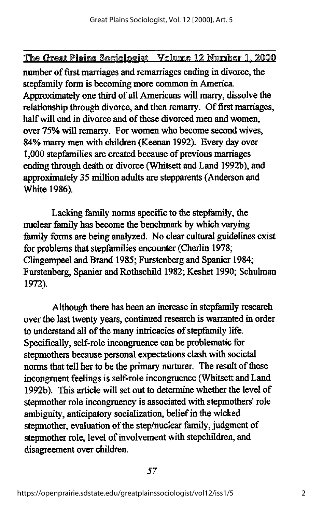number of first marriages and remarriages ending in divorce, the stepfamily form is becoming more common in America. Approximately one third of all Americans will marry, dissolve the relationship through divorce, and then remarry. Of first marriages, half will end in divorce and of these divorced men and women, over 75% will remarry. For women who become second wives, 84% marry men with children (Keenan 1992). Every day over 1,000 stepfamilies are created because of previous marriages ending through death or divorce (Whitsett and Land 1992b), and approximately 35 million adults are stepparents(Anderson and White 1986).

Lacking family norms specific to the stepfamily, the nuclear family has become the benchmark by which varying family forms are being analyzed. No clear cultural guidelines exist for problems that stepfamilies encounter (Cherlin 1978; Clingempeel and Brand 1985; Furstenberg and Spanier 1984; Furstenberg, Spanier and Rothschild 1982; Keshet 1990; Schulman 1972).

Although there has been an increase in stepfamily research over the last twenty years, continued research is warranted in order to understand all of the many intricacies of stepfamily life. Specifically, self-role incongruence can be problematic for stepmothers because personal expectations clash with societal norms that tell her to be the primary nurturer. The result of these incongruent feelings is self-role incongruence (Whitsett and Land 1992b). This article will set out to determine whether the level of stepmother role incongruency is associated with stepmothers' role ambiguity, anticipatory socialization, belief in the wicked stepmother, evaluation of the step/nuclear family, judgment of stepmother role, level of involvement with stepchildren, and disagreement over children.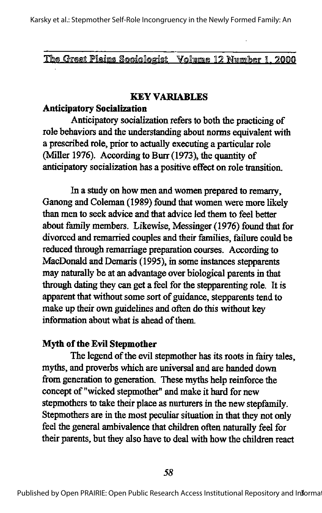The Grest Plains Sociologist Volume 12 Number 1, 2000

#### KEY VARIABLES

#### Anticipatory Socialization

Anticipatory socialization refers to both the practicing of role behaviors and the understanding about norms equivalent with a prescribed role, prior to actually executing a particular role (Miller 1976). According to Burr (1973), the quantity of anticipatory socialization has a positive effect on role transition.

In a study on how men and women prepared to remarry, Ganong and Coleman (1989) found that women were more likely than men to seek advice and that advice led them to feel better about family members. Likewise, Messinger (1976) found that for divorced and remarried couples and their famihes, failure could be reduced through remarriage preparation courses. According to MacDonald and Demaris (1995), in some instances stepparents may naturally be at an advantage over biological parents in that through dating they can get a feel for the stepparenting role. It is apparent that without some sort of guidance, stepparents tend to make up their own guidelines and often do this without key information about what is ahead of them.

#### Myth of the Evil Stepmother

The legend of the evil stepmother has its roots in fairy tales, myths, and proverbs which are universal and are handed down from generation to generation. These myths help reinforce the concept of "wicked stepmother" and make it hard for new stepmothers to take their place as nurturers in the new stepfamily. Stepmothers are in the most peculiar situation in that they not only feel the general ambivalence that children often naturally feel for their parents, but they also have to deal with how the children react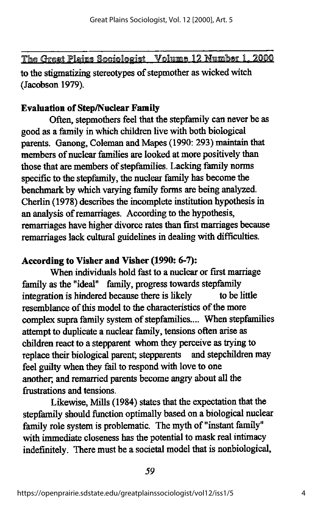The Great Plains Sociologist Volume 12 Number 1, 2000 to the stigmatizing stereotypes of stepmother as wicked witch (Jacobson 1979).

# **Evaluation of Step/Nuclear Family**

Often, stepmothers feel that the stepfamily can never be as good as a family in which children live with both biological parents. Ganong, Coleman and Mapes (1990: 293) maintain that members of nuclear families are looked at more positively than those that are members of stepfamilies. Lacking family norms specific to the stepfamily, the nuclear family has become the benchmark by which varying family forms are being analyzed. Cherlin (1978) describes the incomplete institution hypothesis in an analysis of remarriages. According to the hypothesis, remarriages have higher divorce rates than first marriages because remarriages lack cultural guidelines in dealing with difficulties.

# According to Visher and Visher (1990: 6-7):

When individuals hold fast to a nuclear or first marriage family as the "ideal" family, progress towards stepfamily integration is hindered because there is likely to be little resemblance of this model to the characteristics of the more complex supra family system of stepfamilies.... When stepfamilies attempt to duplicate a nuclear family, tensions often arise as children react to a stepparent whom they perceive as trying to<br>replace their biological parent: stepparents and stepchildren may replace their biological parent; stepparents feel guilty when they fail to respond with love to one another, and remarried parents becomeangryabout all the frustrations and tensions.

Likewise, Mills (1984) states that the expectation that the stepfamily should function optimally based on a biological nuclear family role system is problematic. The myth of "instant family" with immediate closeness has the potential to mask real intimacy indefinitely. There must be a societal model that is nonbiological,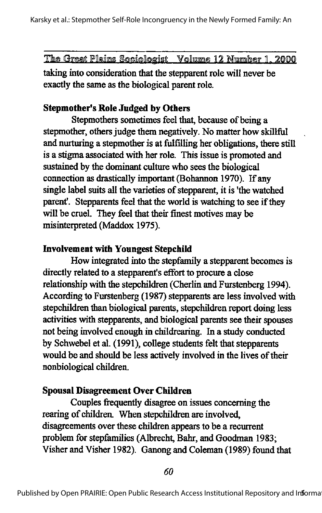taking into consideration that the stepparent role will never be exactly the same as the biological parent role.

# Stepmother's Role Judged by Others

Stepmothers sometimes feel that, because of being a stepmother, others judge them negatively. No matter how skillful and muturing a stepmother is at fulfilling her obligations, there still is a stigma associated with her role. This issue is promoted and sustained by the dominant culture who sees the biological connection as drastically important (Bohannon 1970). If any single label suits all the varieties of stepparent, it is 'the watched parent. Stepparents feel that the world is watching to see if they will be cruel. They feel that their finest motives may be misinterpreted (Maddox 1975).

### Involvement with Youngest Stepchild

How integrated into the stepfamily a stepparent becomes is directly related to a stepparent's effort to procure a close relationship with the stepchildren (Cherlin and Furstenberg 1994). According to Furstenberg (1987) stepparents are less involved with stepchildren than biological parents, stepchildren report doing less activities with stepparents, and biological parents see their spouses not being involved enough in childrearing. In a study conducted by Schwebel et al. (1991), college students felt that stepparents would be and should be less actively involved in the lives of their nonbiological children.

# Spousal Disagreement Over Children

Couples frequently disagree on issues concerning the rearing of children. When stepchildren are involved, disagreements over these children appears to be a recurrent problem for stepfamilies (Albrecht, Bahr, and Goodman 1983; Visher and Visher 1982). Ganong and Coleman (1989) found that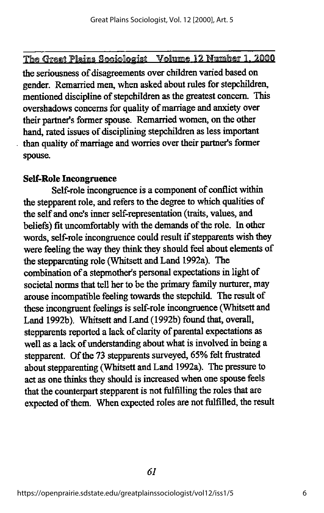the seriousness of disagreements over children varied based on gender. Remarried men, when asked about rules for stepchildren, mentioned discipline of stepchildren as the greatest concern. This overshadows concerns for quality of marriage and anxiety over their partner's former spouse. Remarried women, on the other hand, rated issues of disciplining stepchildren as less important than quality of marriage and worries over their partner's former spouse.

# Self-Role Incongruence

Self-role incongruence is a component of conflict within the stepparent role, and refers to the degree to which qualities of the self and one's inner self-representation (traits, values, and beliefs) fit uncomfortably with the demands of the role. In other words, self-role incongruence could result if stepparents wish they were feeling the way they think they should feel about elements of the stepparenting role (Whitsett and Land 1992a). The combination of a stepmother's personal expectations in light of societal norms that tell her to be the primary family nurturer, may arouse incompatible feeling towards the stepchild. The result of these incongruent feelings is self-role incongruence (Whitsett and Land 1992b). Whitsett and Land (1992b) found that, overall, stepparents reported a lack of clarity of parental expectations as well as a lack of understanding about what is involved in being a stepparent. Of the 73 stepparents surveyed, 65% felt frustrated about stepparenting (Whitsett and Land 1992a). The pressure to act as one thinks they should is increased when one spouse feels that the counterpart stepparent is not fulfilling the roles that are expected of them. When expected roles are not fulfilled, the result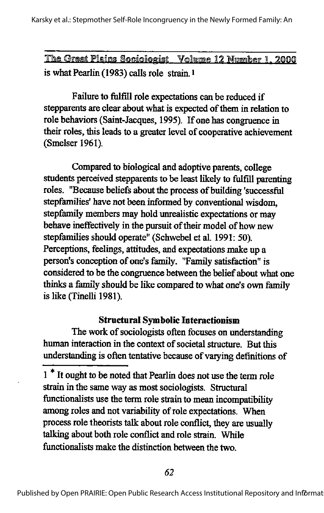The Great Plains Sociologist Volume 12 Number 1. 2000 is what Pearlin  $(1983)$  calls role strain.<sup>1</sup>

Failure to fulfill role expectations can be reduced if stepparents are clear about what is expected of them in relation to role behaviors (Saint-Jacques, 1995). If one has congruence in their roles, this leads to a greater level of cooperative achievement (Smelser 1961).

Compared to biological and adoptive parents, college students perceived stepparents to be least likely to fulfill parenting roles. "Because beliefs about the process of building 'successful stepfamilies' have not been informed by conventional wisdom. stepfamily members may hold unrealistic expectations or may behave ineffectively in the pursuit of their model of how new stepfamilies should operate" (Schwebel et al. 1991: 50). Perceptions, feelings, attitudes, and expectations make up a person's conception of one's family. "Family satisfaction" is considered to be the congruence between the belief about what one thinks a family should be like compared to what one's own family is like (Tinelli 1981).

# Structural Symbolic Interactionism

The work of sociologists often focuses on understanding human interaction in the context of societal structure. But this understanding is often tentative because of varying definitions of

<sup>1&</sup>lt;sup>\*</sup> It ought to be noted that Pearlin does not use the term role strain in the same way as most sociologists. Structural functionalists use the term role strain to mean incompatibility among roles and not variability of role expectations. When process role theorists talk about role conflict, they are usually talking about both role conflict and role strain. While functionalists make the distinction between the two.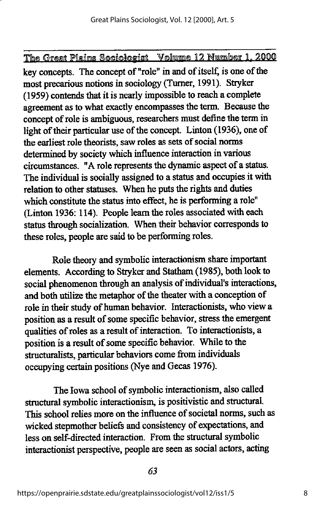key concepts. The concept of "role" in and of itself, is one of die most precarious notions in sociology (Turner, 1991). Stryker (1959) contends that it is nearly impossible to reacha complete agreement as to what exactly encompasses the term. Because the concept of role is ambiguous, researchers must define the term in light of their particular use of the concept. Linton (1936), one of the earliest role theorists, saw roles as sets of social norms determined by society which influence interaction in various circumstances. "A role represents the dynamic aspect of a status. The individual is socially assigned to a status and occupies it with relation to other statuses. When he puts the rights and duties which constitute the status into effect, he is performing a role" (Linton 1936: 114). People learn the roles associated with each status through socialization. When their behavior corresponds to these roles, people are said to be performing roles.

Role theory and symbolic interactionism share important elements. According to Stryker and Statham (1985), both look to social phenomenon through an analysis of individual's interactions, and both utilize the metaphor of the theater with a conception of role in their study of human behavior. Interactionists, who view a position as a result of some specific behavior, stress the emergent qualities of roles as a result of interaction. To interactionists, a position is a result of some specific behavior. While to the structuralists, particular behaviors come from individuals occupying certain positions (Nye and Gecas 1976).

The Iowa school of symbolic interactionism, also called structural symbolic interactionism, is positivistic and structural. This school relies more on the influence of societal norms, such as wicked stepmother beliefs and consistency of expectations, and less on self-directed interaction. From the structural symbolic interactionist perspective, people are seen as social actors, acting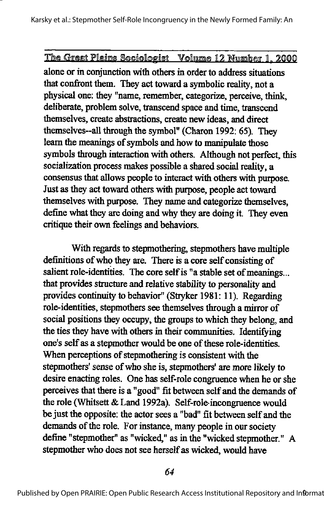alone or in conjunction with others in order to address situations that confront them. They act toward a symbolic reality, not a physical one: they "name, remember, categorize, perceive, think^ deliberate, problem solve, transcend space and time, transcend themselves, create abstractions, create new ideas, and direct themselves~all through the symbol" (Charon 1992: 65). They learn the meanings of symbols and how to manipulate those symbols through interaction with others. Although not perfect, this socialization process makes possible a shared social reality, a consensus that allows people to interact with others with purpose. Just as they act toward others with purpose, people act toward themselves with purpose. They name and categorize themselves, define what they are doing and why they are doing it. They even critique their own feelings and behaviors.

With regards to stepmothering, stepmothers have multiple definitions of who they are. There is a core self consisting of salient role-identities. The core self is "a stable set of meanings... that provides structure and relative stability to personality and provides continuity to behavior" (Stryker 1981: 11). Regarding role-identities, stepmothers see themselves through a mirror of social positions they occupy, the groups to which they belong, and the ties they have with others in their communities. Identifying one's self as a stepmother would be one of these role-identities. When perceptions of stepmothering is consistent with the stepmothers' sense of who she is, stepmothers' are more likely to desire enacting roles. One has self-role congruence when he or she perceives that there is a "good" fit between self and the demands of the role (Whitsett& Land 1992a). Self-role-incongruence would be just the opposite: the actor sees a "bad" fit between self and the demands of the role. For instance, many people in our society define "stepmother" as "wicked," as in the "wicked stepmother." A stepmother who does not see herself as wicked, would have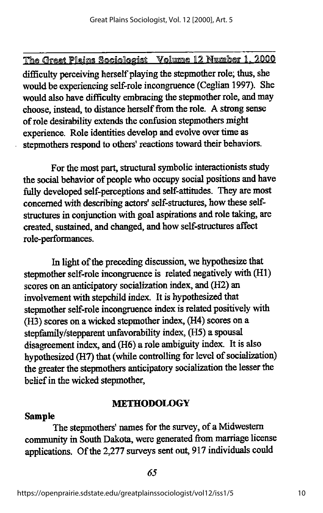difficulty perceiving herself playing the stepmother role; thus, she would be experiencing self-role incongruence (Ceglian 1997). She would also have difficulty embracing the stepmother role, and may choose, instead, to distance herself from the role. A strong sense of role desirability extends the confusion stepmothers might experience. Role identities develop and evolve over time as stepmothers respond to others' reactions toward their behaviors.

For the most part, structural symbolic interactionists study the social behavior of people who occupy social positions and have fully developed self-perceptions and self-attitudes. They are most concerned with describing actors' self-structures, how these selfstructures in conjunction with goal aspirations and role taking, are created, sustained, and changed, and how self-structures affect role-performances.

In light of the preceding discussion, we hypothesize that stepmother self-role incongruence is related negatively with (H1) scores on an anticipatory socialization index, and (H2) an involvement with stepchild index. It is hypothesized that stepmother self-role incongruence index is related positively with (H3) scores on a wicked stepmother index, (H4) scores on a stepfamily/stepparent unfavorability index, (H5) a spousal disagreement index, and(H6) a role ambiguity index. It is also hypothesized (H7) that (while controlling for level of socialization) the greater the stepmothers anticipatory socialization the lesser the belief in the wicked stepmother,

#### METHODOLOGY

#### Sample

The stepmothers' names for the survey, of a Midwestern community in South Dakota, were generated from marriage license applications. Of the 2,277 surveys sent out, 917 individuals could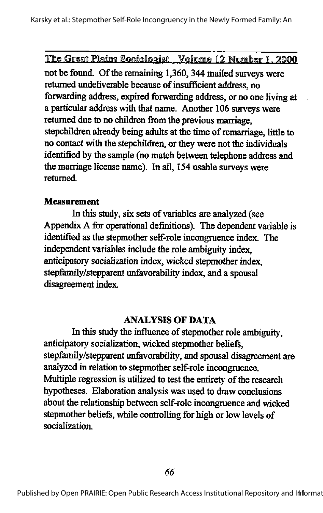not be found. Of the remaining 1,360, 344 mailed surveys were returned undeliverable because of insufficient address, no forwarding address, expired forwarding address, or no one living at a particular address with that name. Another 106 surveys were returned due to no children from the previous marriage, stepchildren already being adults at the time of remarriage, little to no contact with the stepchildren, or they were not the individuals identified by the sample (no match between telephone address and the marriage license name). In all, 154 usable surveys were returned

#### **Measurement**

In this study, six sets of variables are analyzed (see Appendix A for operational definitions). The dependent variable is identified as the stepmother self-role incongruence index. The independent variables include the role ambiguity index, anticipatory socialization index, wicked stepmother index, stepfamily/stepparent unfavorability index, and a spousal disagreement index.

#### ANALYSIS OF DATA

In this study the influence of stepmother role ambiguity, anticipatory socialization, wicked stepmother beliefs, stepfamily/stepparent unfavorability, and spousal disagreement are analyzed in relation to stepmother self-role incongruence. Multiple regression is utilized to test the entirety of the research hypotheses. Elaboration analysis was used to draw conclusions about the relationship between self-role incongruence and wicked stepmother beliefs, while controlling for high or low levels of socialization.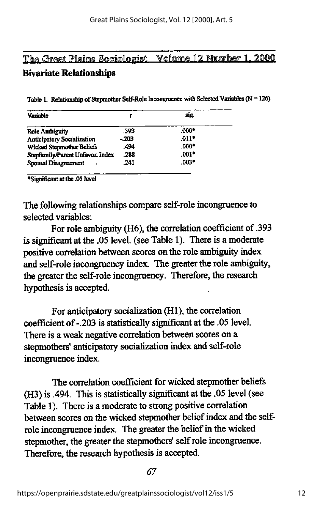# The Great Plains Sociologist Volume 12 Number 1, 2000 Bivariate Relationships

Table 1. Relationship of Stepmother Self-Role Incongruence with Selected Variables ( $N = 126$ )

| Variable                          |        | SIQ.    |  |
|-----------------------------------|--------|---------|--|
| Role Ambiguity                    | .393   | $.000*$ |  |
| <b>Anticipatory Socialization</b> | $-203$ | .011    |  |
| Wicked Stepmother Beliefs         | .494   | .റററ∙   |  |
| Stepfamily/Parent Unfavor. Index  | .288   | .001*   |  |
| Spousal Disagreement<br>٠         | .241   | .003    |  |

'Significant at tbe .OS level

The following relationships compare self-role incongruence to selected variables:

For role ambiguity (H6), the correlation coefficient of .393 is significantat the .05 level, (see Table 1). There is a moderate positive correlation between scores on the role ambiguity index and self-role incongruency index. The greater the role ambiguity, the greater the self-role incongruency. Therefore, the research hypothesis is accepted.

For anticipatory socialization (HI), the correlation coefficient of -.203 is statistically significant at the .05 level. There is a weak negative correlation between scores on a stepmothers' anticipatory socialization index and self-role incongruence index.

The correlation coefficient for wicked stepmother beliefs (H3) is .494. This is statistically significant at the .05 level (see Table 1). There is a moderate to strong positive correlation between scores on the wicked stepmother belief index and the selfrole incongruence index. The greater the belief in the wicked stepmother, the greater the stepmothers' self role incongruence. Therefore, the research hypothesis is accepted.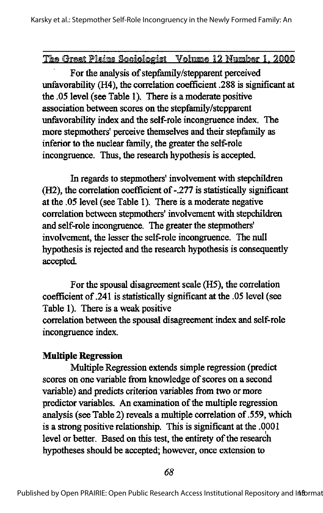#### The Great Plains Sociologist Volume 12 Number 1, 2000

For the analysis of stepfamily/stepparent perceived unfavorability (H4), the correlation coefficient .288 is significant at the .05 level (see Table 1). There is a moderate positive association between scores on the stepfamily/stepparent unfavorability index and the self-role incongruence index. The more stepmothers' perceive themselves and their stepfamily as inferior to the nuclear family, the greater the self-role incongruence. Thus, the research hypothesis is accepted.

In regards to stepmothers' involvement with stepchildren (H2), the correlation coefficient of-.277 is statistically significant at the .05 level (see Table I). There is a moderate negative correlation between stepmothers' involvement with stepchildren and self-role incongruence. The greater the stepmothers' involvement, the lesser the self-role incongruence. The null hypothesis is rejected and the research hypothesis is consequently accepted.

For the spousal disagreement scale (H5), the correlation coefficient of.241 is statistically significant at the .05 level (see Table 1). There is a weak positive correlation between the spousal disagreement index and self-role incongruence index.

#### Multiple Regression

Multiple Regression extends simple regression (predict scores on one variable from knowledge of scores on a second variable) and predicts criterion variables from two or more predictor variables. An examination of the multiple regression analysis (see Table 2) reveals a multiple correlation of.559, which is a strong positive relationship. This is significant at the .0001 level or better. Based on this test, the entirety of the research hypotheses should be accepted; however, once extension to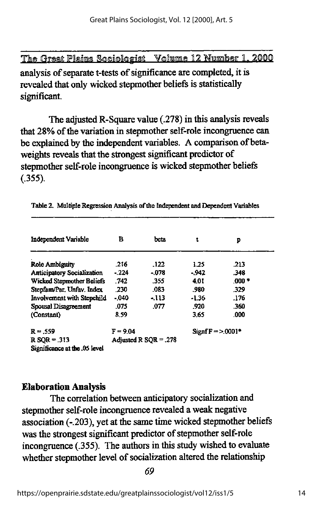analysis of separate t-tests of significance are completed, it is revealed that only wicked stepmother beliefs is statistically significant.

The adjusted R-Square value (.278) in this analysis reveals that 28% of the variation in stepmother self-role incongruence can be explained by the independent variables. A comparison of betaweights reveals that the strongest significant predictor of stepmother self-role incongruence is wicked stepmother beliefs  $(.355).$ 

| Independent Variable              | в                       | beta   | t                 | p       |  |
|-----------------------------------|-------------------------|--------|-------------------|---------|--|
| <b>Role Ambiguity</b>             | .216                    | .122   | 1.25              | .213    |  |
| <b>Anticipatory Socialization</b> | $-224$                  | $-078$ | -.942             | .348    |  |
| Wicked Stepmother Beliefs         | .742                    | .355   | 4.01              | $.000*$ |  |
| Stepfam/Par. Unfav. Index         | .230                    | .083   | .980              | .329    |  |
| Involvement with Stepchild        | $-040$                  | - 113  | $-1.36$           | .176    |  |
| Spousal Disagreement              | .075                    | .077   | .920              | .360    |  |
| (Constant)                        | 8.59                    |        | 3.65              | .000    |  |
| $R = .559$                        | $F = 9.04$              |        | $SignF = 2.0001*$ |         |  |
| $R$ SQR = .313                    | Adjusted R $SOR = .278$ |        |                   |         |  |
| Significance at the .05 level     |                         |        |                   |         |  |

Table 2. Multiple Regression Analysis of the Independent and Dependent Variables

# **Elaboration Analysis**

The correlation between anticipatory socialization and stepmother self-role incongruence revealed a weak negative association (-.203), yet at the same time wicked stepmother beliefs was the strongest significant predictor of stepmother self-role incongruence (.355). The authors in this study wished to evaluate whether stepmother level of socialization altered the relationship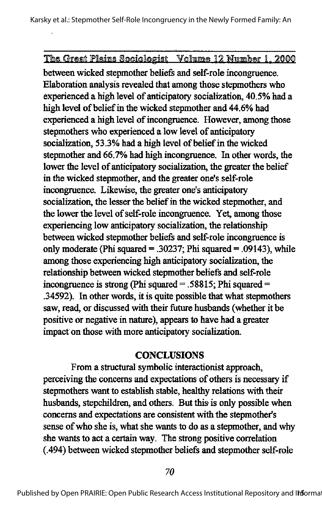between wicked stepmother beliefs and self-role incongruence. Elaboration analysis revealed that among those stepmothers who experienced a high level of anticipatory socialization, 40.5% had a high level of belief in the wicked stepmother and 44.6% had experienced a high level of incongruence. However, among those stepmothers who experienced a low level of anticipatory socialization, 53.3% had a high level of belief in the wicked stepmother and 66.7% had high incongruence. In other words, the lower the level of anticipatory socialization, the greater the belief in the wicked stepmother, and the greater one's self-role incongruence. Likewise, the greater one's anticipatory socialization, the lesser the belief in the wicked stepmother, and the lower the level of self-role incongruence. Yet, among those experiencing low anticipatory socialization, the relationship between wicked stepmother beliefs and self-role incongruence is only moderate (Phi squared  $=$  .30237; Phi squared  $=$  .09143), while among those experiencing high anticipatory socialization, the relationship between wicked stepmother beliefs and self-role incongruence is strong (Phi squared  $=$  .58815; Phi squared  $=$ .34592). In other words, it is quite possible that what stepmothers saw, read, or discussed with their future husbands (whether it be positive or negative in nature), appears to have had a greater impact on those with more anticipatory socialization.

#### **CONCLUSIONS**

From a structural symbolic interactionist approach, perceiving the concerns and expectations of others is necessary if stepmothers want to establish stable, healthy relations with their husbands, stepchildren, and others. But this is only possible when concerns and expectations are consistent with the stepmother's sense of who she is, what she wants to do as a stepmother, and why she wants to act a certain way. The strong positive correlation (.494) between wicked stepmother beliefs and stepmother self-role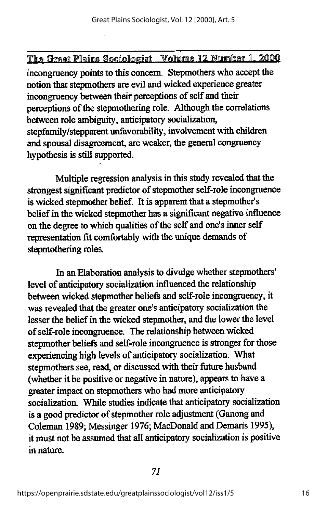incongruency points to this concern. Stepmothers who accept the notion that stepmothers are evil and wicked experience greater incongruency between their perceptions of self and their perceptions of the stepmothering role. Although the correlations between role ambiguity, anticipatory socialization, stepfamily/stepparent unfavorability, involvement with children and spousal disagreement, are weaker, the general congruency hypothesis is still supported.

Multiple regression analysis in this study revealed that the strongest significant predictor of stepmother self-role incongruence is wicked stepmother belief. It is apparent that a stepmother's belief in the wicked stepmother has a significant negative influence on the degree to which qualities of the self and one's inner self representation fit comfortably with the unique demands of stepmothering roles.

In an Elaboration analysis to divulge whether stepmothers' level of anticipatory socialization influenced the relationship between wicked stepmother beliefs and self-role incongruency, it was revealed that the greater one's anticipatory socialization the lesser the belief in the wicked stepmother, and the lower the level of self-role incongruence. The relationship between wicked stepmother beliefs and self-role incongruence is stronger for those experiencing high levels of anticipatory socialization. What stepmothers see, read, or discussed with their future husband (whether it be positive or negative in nature), appears to have a greater impact on stepmothers who had more anticipatory socialization. While studies indicate that anticipatory socialization is a good predictor of stepmother role adjustment (Ganong and Coleman 1989; Messinger 1976; MacDonald and Demaris 1995), it must not be assumed that all anticipatory socialization is positive in nature.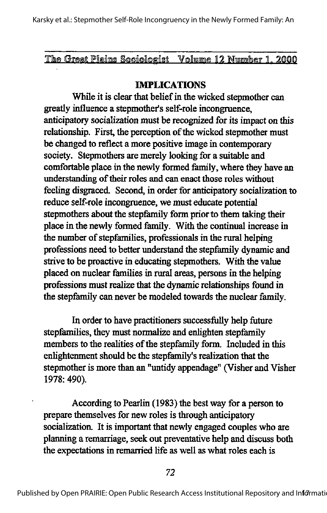The Great Plains Sociologist Volume 12 Number 1, 2000

#### IMPLICATIONS

While it is clear that belief in the wicked stepmother can greatly influence a stepmother's self-role incongruence, anticipatory socialization must be recognized for its impact on this relationship. First, the perception of the wicked stepmother must be changed to reflect a more positive image in contemporary society. Stepmothers are merely looking for a suitable and comfortable place in the newly formed family, where they have an understanding of their roles and can enact those roles without feeling disgraced. Second, in order for anticipatory socialization to reduce self-role incongruence, we must educate potential stepmothers about the stepfamily form prior to them taking their place in the newly fonned family. With the continual increase in the number of stepfamilies, professionals in the rural helping professions need to better understand the stepfamily dynamic and strive to be proactive in educating stepmothers. With the value placed on nuclear families in rural areas, persons in the helping professions must realize that the dynamic relationships found in the stepfamily can never be modeled towards the nuclear family.

In order to have practitioners successfully help future stepfamilies, they must normalize and enlighten stepfamily members to the realities of the stepfamily form. Included in this enlightenment should be the stepfamily's realization that the stepmother is more than an "untidy appendage" (Visher and Visher 1978: 490).

According to Pearlin (1983) the best way for a person to prepare themselves for new roles is through anticipatory socialization. It is important that newly engaged couples who are planning a remarriage, seek out preventative help and discuss both the expectations in remarried life as well as what roles each is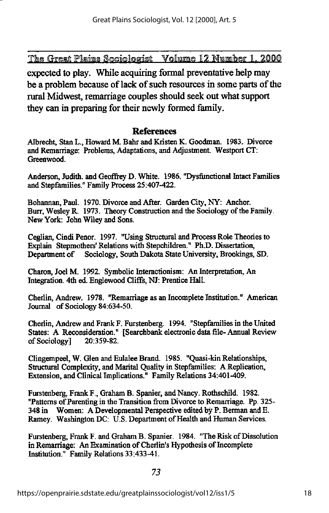expected to play. While acquiring formal preventative help may be a problem because of lack of such resources in some parts of the rural Midwest, remarriage couples should seek out what support they can in preparing for their newly formed family.

#### References

Albrecht, Stan L., Howard M. Bahr and Kristen K. Goodman. 1983. Divorce and Remarriage: Problems, Adaptations, and Adjustment. Westport  $CT$ : Greenwood.

Anderson, Judith, and Geoffrey D. White. 1986. "Dysfunctional Intact Families and Stepfamilies." Family Process 25:407-422.

Bohannan, Paul. 1970. Divorce and After. Garden City, NY: Anchor. Burr, Wesley R. 1973. Theory Construction and the Sociology of the Family. New York: John Wiley and Sons.

Ceglian, Cindi Penor. 1997. "Using Structural and Process Role Theories to Explain Stepmothers' Relations with Stepchildren." Ph.D. Dissertation, Department of Sociology, South Dakota State University, Brookings, SD.

Charon, Joel M. 1992. Symbolic Interactionism: An Interpretation, An Integration. 4th ed. Englewood Cliffs, NJ: Prentice Hall.

Cherlin, Andrew. 1978. "Remarriage as an Incomplete Institution." American Journal of Sociology 84:634-50.

Cheriin, Andrew and Frank F.Furstenberg. 1994. "Stepfamilies in the United States: A Reconsideration." [Searchbank electronic data file-Annual Review of Sociology] 20:359-82. of Sociology]

Clingempeel, W. Glen and Eulalee Brand. 1985. "Quasi-kin Relationships, Structural Complexity, and Marital Quality in Stepfamilies: A Replication, Extension, and Clinical Implications." Family Relations 34:401-409.

Furstenberg, Frank F., Graham B. Spanier, and Nancy. Rothschild. 1982. "Patterns of Parenting in the Transition from Divorce to Remarriage. Pp. 325-<br>348 in Women: A Developmental Perspective edited by P. Berman and E. Women: A Developmental Perspective edited by P. Berman and E. Ramey. Washington DC: U.S. Department of Health and Human Services.

Furstenberg, Frank F. and Graham B. Spanier. 1984. "The Risk of Dissolution in Remarriage: An Examination of Cherlin's Hypothesis of Incomplete Institution." Family Relations 33:433-41.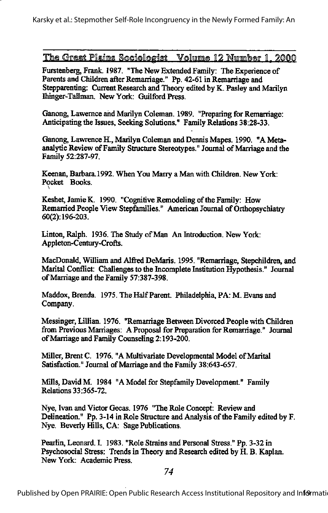Furstenberg, Frank. 1987. "The New Extended Family: The Experience of Parents and Children after Remarriage." Pp. 42-61 in Remarriage and Stepparenting: Current Research and Theory edited by K. Pasley and Marilyn Ihinger-Tallman. New York: Guilford Press.

Ganong, Lawernce and Marilyn Coleman. 1989. "Preparing for Remarriage: Anticipating the Issues, Seeking Solutions." Family Relations 38:28-33.

Ganong, Lawrence H., Marilyn Coleman and Dennis Mapes. 1990. "A Metaanalytic Review of Family Structure Stereotypes." Journal of Marriage and the Family 52:287-97.

Keenan, Barbara.1992. When You Marry a Man with Children. New York: Pocket Books.

Keshet, Jamie K. 1990. "Cognitive Remodeling of the Family: How Remarried People View Stepfamilies." American Journal of Orthopsychiatry 60(2): 196-203.

Linton, Ralph. 1936. The Study of Man An Introduction. New York: Appleton-Century-Crofls.

\

MacDonald, William and Alfred DeMaris. 1995. "Remarriage, Stepchildren, and Marital Conflict: Challenges to the Incomplete Institution Hypothesis." Journal ofMarriage and die Family 57:387-398.

Maddox, Brenda. 1975. The Half Parent. Philadelphia, PA: M. Evans and Company.

Messinger, Lillian. 1976. "Remarriage Between Divorced People with Children from Previous Marriages: A Proposal for Preparation for Remarriage." Journal of Marriage and Family Counseling 2:193-200.

Miller, Brent C. 1976. "A Multivariate Developmental Model of Marital Satisfaction." Journal of Marriage and the Family 38:643-657.

Mills, David M. 1984 "A Model for Stepfamily Development." Family Relations 33:365-72.

Nye, Ivan and Victor Gecas. 1976 "The Role Concept: Review and Delineation." Pp. 3-14 in Role Structure and Analysis of the Family edited by F. Nye. Beverly Hills, CA: Sage Publications.

Pearlin, Leonard. I. 1983. "Role Strains and Personal Stress." Pp. 3-32 in Psychosocial Stress: Trends in Theory and Research edited by H. B. Kaplan. New York: Academic Press.

74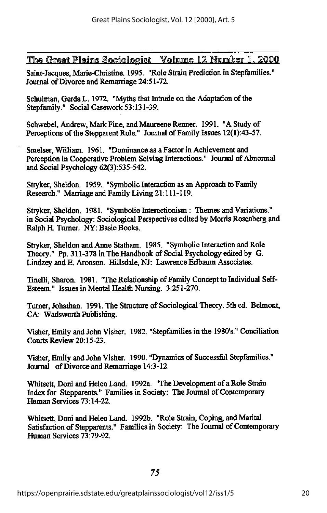Saint-Jacques, Marie-Christine. 1995. "Role Strain Prediction in Stepfamilies." Journal of Divorce and Remarriage 24:51-72.

Schulman, Gerda L. 1972. "Myths that Intrude on the Adaptation of the Stepfamily." Social Casework 53:131-39.

Schwebel, Andrew, Mark Fine, and Maureene Renner. 1991. "A Study of Perceptions of the Stepparent Role." Journal of Family Issues 12(1):43-57.

Smelser, William. 1961. "Dominance as a Factor in Achievement and Perception in Cooperative Problem Solving Interactions." Journal of Abnormal and Social Psychology 62(3):535-542.

Stryker, Sheldon. 1959. "Symbolic Interaction as an Approach to Family Research." Marriage and Family Living 21:111-119.

Stryker, Sheldon. 1981. "Symbolic Interactionism: Themes and Variations." in Social Psychology: Sociological Perspectives edited by Morris Rosenberg and Ralph H. Turner. NY: Basic Books.

Stryker, Sheldon and Anne Statham. 1985. "Symbolic Interaction and Role Theory." Pp. 311-378 in The Handbook of Social Psychology edited by G. Lindzey and E. Aronson. Hillsdale, NJ: Lawrence Erlbaum Associates.

Tinelli, Sharon. 1981. "The Relationship of Family Concept to Individual Self-Esteem." Issues in Mental Health Nursing. 3:251-270.

Turner, Johathan. 1991. The Structure of Sociological Theory. 5th ed. Belmont, CA: Wadswordi Publishing.

Visher, Emily and John Visher. 1982. "Stepfamilies in the 1980's." Conciliation Courts Review 20:15-23.

Visher,Emily and John Visher. 1990. "Dynamics of Successful Stepfamilies." Joumal ofDivorce and Remarriage 14:3-12.

Whitsett, Doni and Helen Land. 1992a. "The Development of a Role Strain Index for Stepparents." Families in Society: The Joumal of Contemporary Human Services 73:14-22.

Whitsett, Doni and Helen Land. 1992b. "Role Strain, Coping, and Marital Satisfaction of Stepparents." Families in Society: The Journal of Contemporary Human Services 73:79-92.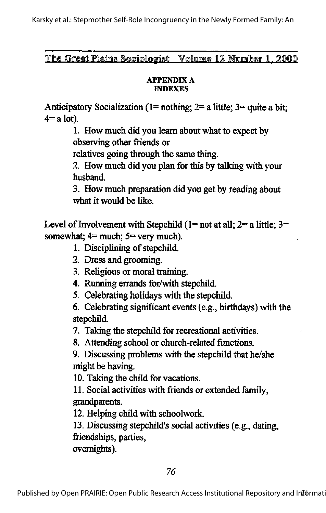The Great Plains Sociologist Volume 12 Number 1, 2000

#### **APPENDIX A INDEXES**

Anticipatory Socialization (1= nothing;  $2=$  a little;  $3=$  quite a bit;  $4=$ a lot).

> 1. How much did you learn about what to expect by observing other friends or

relatives going through the same thing.

2. How much did you plan for this by talking with your husband.

3. How much preparation did you get by reading about what it would be like.

Level of Involvement with Stepchild ( $1 = not$  at all;  $2 = a$  little;  $3 =$ somewhat;  $4 =$  much;  $5 =$  very much).

- 1. Disciplining of stepchild.
- 2. Dress and grooming.
- 3. Religious or moral training.
- 4. Running errands for/with stepchild.
- 5. Celebrating holidays with the stepchild.

6. Celebrating significant events (e.g., birthdays) with the stepchild.

7. Taking the stepchild for recreational activities.

8. Attending school or church-related functions.

9. Discussing problems with the stepchild that he/she might be having.

10. Taking the child for vacations.

11. Social activities with friends or extended family, grandparents.

12. Helping child with schoolwork.

13. Discussing stepchild's social activities (e.g., dating, friendships, parties,

overnights).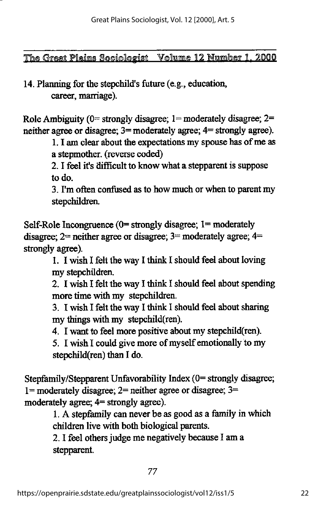# 14. Planning for the stepchild's future (e.g., education, career, marriage).

Role Ambiguity ( $0$ = strongly disagree; 1= moderately disagree; 2= neither agree or disagree; 3= moderately agree; 4= strongly agree).

> 1. I am clear about the expectations my spouse has of me as a stepmother, (reverse coded)

2.1 feel it's difficult to know what a stepparent is suppose to do.

3. I'm often confused as to how much or when to parent my stepchildren.

Self-Role Incongruence  $(0=$  strongly disagree;  $1=$  moderately disagree;  $2=$  neither agree or disagree;  $3=$  moderately agree;  $4=$ strongly agree).

> 1. I wish I felt the way I think I should feel about loving my stepchildren.

2. I wish I felt the way I think I should feel about spending more time with my stepchildren.

3. I wish I felt the way I think I should feel about sharing my things with my stepchild(ren).

4. I want to feel more positive about my stepchild(ren).

5. I wish I could give more of myself emotionally to my stepchild(ren) than I do.

Stepfamily/Stepparent Unfavorability Index (0= strongly disagree; 1= moderately disagree;  $2$ = neither agree or disagree;  $3$ = moderately agree; 4= strongly agree).

1.A stepfamily can neverbe as goodas a family in which children live with both biological parents.

2. I feel others judge me negatively because I am a stepparent.